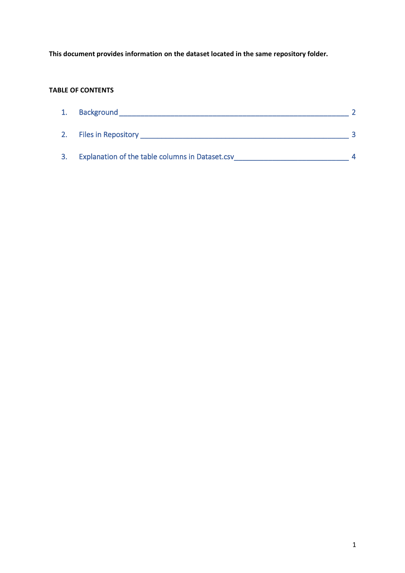**This document provides information on the dataset located in the same repository folder.**

## **TABLE OF CONTENTS**

| 1. | <b>Background</b>                               |  |
|----|-------------------------------------------------|--|
| 2. | <b>Files in Repository</b>                      |  |
| 3. | Explanation of the table columns in Dataset.csv |  |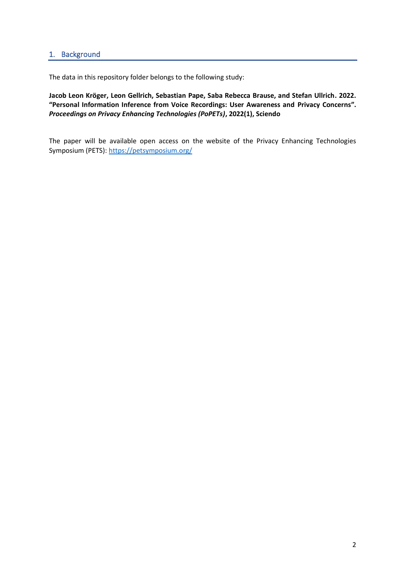## <span id="page-1-0"></span>1. Background

The data in this repository folder belongs to the following study:

**Jacob Leon Kröger, Leon Gellrich, Sebastian Pape, Saba Rebecca Brause, and Stefan Ullrich. 2022. "Personal Information Inference from Voice Recordings: User Awareness and Privacy Concerns".** *Proceedings on Privacy Enhancing Technologies (PoPETs)***, 2022(1), Sciendo**

The paper will be available open access on the website of the Privacy Enhancing Technologies Symposium (PETS):<https://petsymposium.org/>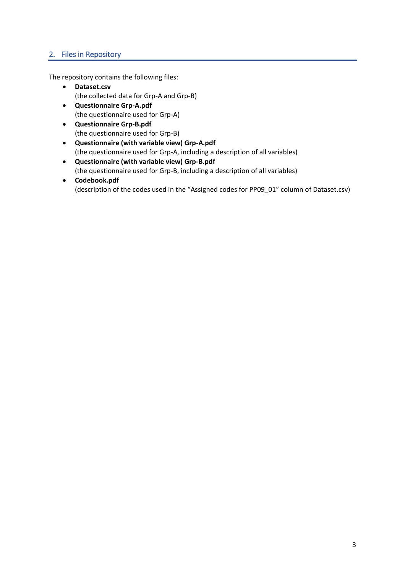## <span id="page-2-0"></span>2. Files in Repository

The repository contains the following files:

- **Dataset.csv** (the collected data for Grp-A and Grp-B)
- **Questionnaire Grp-A.pdf** (the questionnaire used for Grp-A)
- **Questionnaire Grp-B.pdf** (the questionnaire used for Grp-B)
- **Questionnaire (with variable view) Grp-A.pdf** (the questionnaire used for Grp-A, including a description of all variables)
- **Questionnaire (with variable view) Grp-B.pdf** (the questionnaire used for Grp-B, including a description of all variables)
- **Codebook.pdf** (description of the codes used in the "Assigned codes for PP09\_01" column of Dataset.csv)